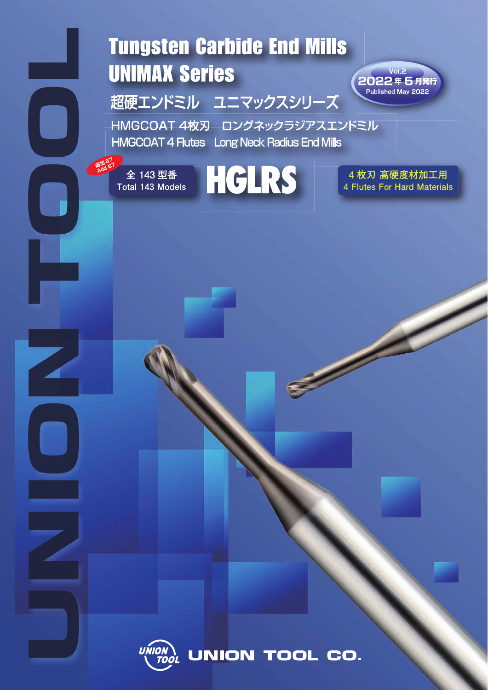# **Tungsten Carbide End Mills UNIMAX Series**

超硬エンドミル ユニマックスシリーズ

HMGCOAT 4枚刃 ロングネックラジアスエンドミル **HMGCOAT 4 Flutes** Long Neck Radius End Mills

全 143 型番 Total 143 Models



4枚刃 高硬度材加工用 **4 Flutes For Hard Materials** 

 $Vol.2<sub>1</sub>$ 2022年5月発行 Published May 2022



UNION TOOL CO.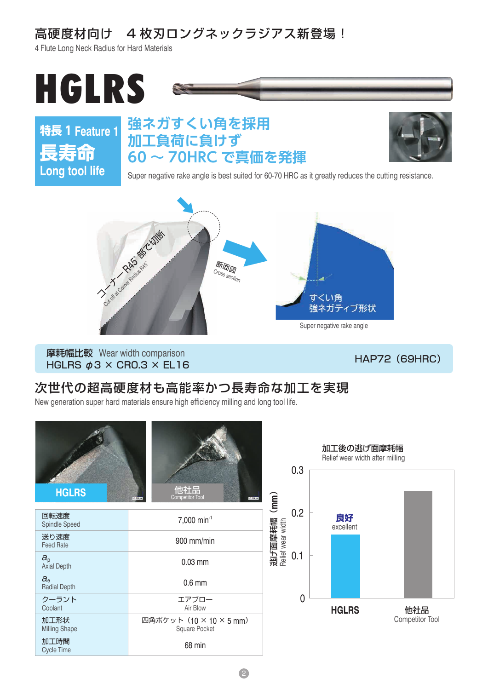# 高硬度材向け 4 枚刃ロングネックラジアス新登場!

4 Flute Long Neck Radius for Hard Materials



**特長 1 Feature 1 長寿命 Long tool life**

## **強ネガすくい角を採用 加工負荷に負けず 60 ~ 70HRC で真価を発揮**



Super negative rake angle is best suited for 60-70 HRC as it greatly reduces the cutting resistance.



摩耗幅比較 Wear width comparison<br>HGLRS φ3 × CR0.3 × EL16 <br>HGLRS φ3 × CR0.3 × EL16

### 次世代の超高硬度材も高能率かつ長寿命な加工を実現

New generation super hard materials ensure high efficiency milling and long tool life.

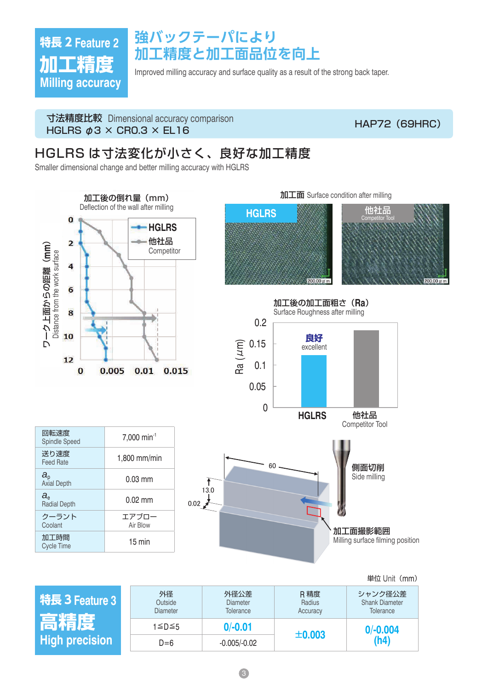# **特長 2 Feature 2 加工精度 Milling accuracy**

# **強バックテーパにより 加工精度と加工面品位を向上**

Improved milling accuracy and surface quality as a result of the strong back taper.

寸法精度比較 Dimensional accuracy comparison https://www.https://www.https://www.https://www.https://www.https://www<br>HGLRS φ3 × CR0.3 × EL16

### HGLRS は寸法変化が小さく、良好な加工精度

Smaller dimensional change and better milling accuracy with HGLRS



**特長 3 Feature 3 高精 High precision** 外径 **Outside** Diameter 外径公差 **Diameter Tolerance** R 精度 Radius **Accuracy** シャンク径公差 Shank Diameter **Tolerance** <sup>1</sup>≦D≦<sup>5</sup> **0/-0.01** <sup>±</sup>**0.003 0/-0.004**  $D=6$   $-0.005/-0.02$   $\pm 0.003$   $(n4)$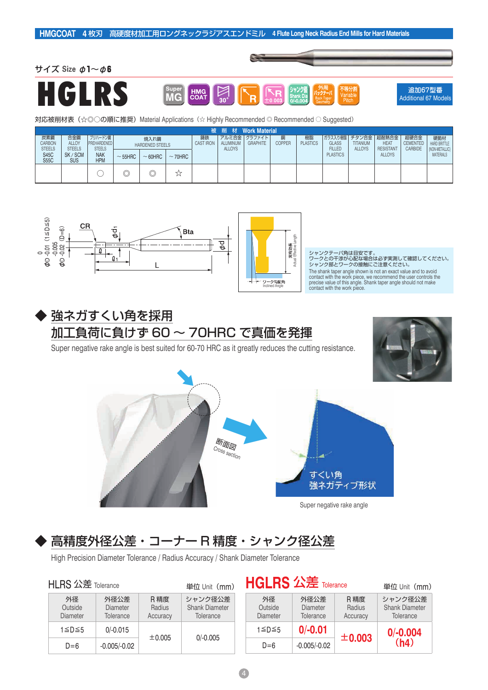





追加67型番 Additional 67 Models

対応被削材表(☆◎○の順に推奨)Material Applications (☆ Highly Recommended © Recommended ○ Suggested)

|                                       |                                      |                                         |              |                                |     |  |                           | 被 削 材 Work Material                 |                    |                       |                                                      |                                  |                                      |                                    |                                    |
|---------------------------------------|--------------------------------------|-----------------------------------------|--------------|--------------------------------|-----|--|---------------------------|-------------------------------------|--------------------|-----------------------|------------------------------------------------------|----------------------------------|--------------------------------------|------------------------------------|------------------------------------|
| 炭素鋼<br><b>CARBON</b><br><b>STEELS</b> | 合金鋼<br><b>ALLOY</b><br><b>STEELS</b> | プリハードン鋼<br>PREHARDENED<br><b>STEELS</b> |              | 焼入れ鋼<br><b>HARDENED STEELS</b> |     |  | ALUMINUM<br><b>ALLOYS</b> | アルミ合金   グラファイト  <br><b>GRAPHITE</b> | 銅<br><b>COPPER</b> | 樹脂<br><b>PLASTICS</b> | ガラス入り棚脂 チタン合金 超耐熱合金<br><b>GLASS</b><br><b>FILLED</b> | <b>TITANIUM</b><br><b>ALLOYS</b> | HEA <sub>1</sub><br><b>RESISTANT</b> | 超硬合金<br><b>CEMENTED</b><br>CARBIDE | 硬脆材<br><b>HARD BRITTLE</b>         |
| <b>S45C</b><br><b>S55C</b>            | SK / SCM<br>SUS                      | <b>NAK</b><br><b>HPM</b>                | $\sim$ 55HRC | $\sim$ 70HRC<br>$~\sim$ 60HRC  |     |  |                           |                                     |                    |                       | <b>PLASTICS</b>                                      |                                  | <b>ALLOYS</b>                        |                                    | (NON-METALLIC)<br><b>MATERIALS</b> |
|                                       |                                      |                                         | ⌒<br>Y       | ◡                              | ب ب |  |                           |                                     |                    |                       |                                                      |                                  |                                      |                                    |                                    |





### 強ネガすくい角を採用 加工負荷に負けず 60 ~ 70HRC で真価を発揮

Super negative rake angle is best suited for 60-70 HRC as it greatly reduces the cutting resistance.





## 高精度外径公差・コーナー R 精度・シャンク径公差

High Precision Diameter Tolerance / Radius Accuracy / Shank Diameter Tolerance

| <b>HLRS 公差 Tolerance</b>         |                                      |                            | 単位 Unit (mm)                                  |                                  | <b>HGLRS 公差 Tolerance</b>     |  |
|----------------------------------|--------------------------------------|----------------------------|-----------------------------------------------|----------------------------------|-------------------------------|--|
| 外径<br>Outside<br><b>Diameter</b> | 外径公差<br><b>Diameter</b><br>Tolerance | R 精度<br>Radius<br>Accuracy | シャンク径公差<br><b>Shank Diameter</b><br>Tolerance | 外径<br>Outside<br><b>Diameter</b> | 外径公差<br>Diameter<br>Tolerance |  |
| 1≦D≦5                            | $0/-0.015$                           | ±0.005                     | $0/-0.005$                                    | 1≦D≦5                            | $0/-0.01$                     |  |
| $D=6$                            | $-0.005/-0.02$                       |                            |                                               | $D=6$                            | $-0.005/-0.02$                |  |

| 単位 Unit (mm)                                         | <b>HULKS 公左 Tolerance</b>        |                                      |                            | 単位 Unit (mm)                                  |
|------------------------------------------------------|----------------------------------|--------------------------------------|----------------------------|-----------------------------------------------|
| シャンク径公差<br><b>Shank Diameter</b><br><b>Tolerance</b> | 外径<br>Outside<br><b>Diameter</b> | 外径公差<br>Diameter<br><b>Tolerance</b> | R 精度<br>Radius<br>Accuracy | シャンク径公差<br><b>Shank Diameter</b><br>Tolerance |
| $0/-0.005$                                           | 1≦D≦5                            | $0/-0.01$                            | ±0.003                     | $0/-0.004$                                    |
|                                                      | $D=6$                            | $-0.005/-0.02$                       |                            | (h4)                                          |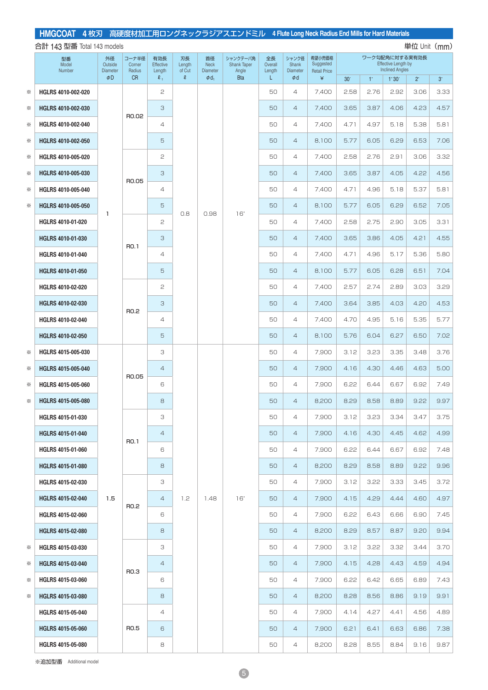| 合計 143 型番 Total 143 models<br>単位 Unit (mm) |                          |                                  |                           |                            |                        |                                      |                                         |                         |                                   |                                            |                 |             |                                                                        |             |           |
|--------------------------------------------|--------------------------|----------------------------------|---------------------------|----------------------------|------------------------|--------------------------------------|-----------------------------------------|-------------------------|-----------------------------------|--------------------------------------------|-----------------|-------------|------------------------------------------------------------------------|-------------|-----------|
|                                            | 型番<br>Model<br>Number    | 外径<br>Outside<br><b>Diameter</b> | コーナ半径<br>Corner<br>Radius | 有効長<br>Effective<br>Length | 刃長<br>Length<br>of Cut | 首径<br><b>Neck</b><br><b>Diameter</b> | シャンクテーパ角<br><b>Shank Taper</b><br>Angle | 全長<br>Overall<br>Length | シャンク径<br>Shank<br><b>Diameter</b> | 希望小売価格<br>Suggested<br><b>Retail Price</b> |                 |             | ワーク勾配角に対する実有効長<br><b>Effective Length by</b><br><b>Inclined Angles</b> |             |           |
|                                            |                          | $\phi$ D                         | <b>CR</b>                 | $\ell_{1}$                 | $\mathbf{\ell}$        | $\phi$ d <sub>1</sub>                | <b>Bta</b>                              | L                       | Φd                                | ¥                                          | 30 <sup>′</sup> | $1^{\circ}$ | $1^\circ 30'$                                                          | $2^{\circ}$ | $3^\circ$ |
| ☀                                          | HGLRS 4010-002-020       |                                  |                           | 2                          |                        |                                      |                                         | 50                      | $\overline{4}$                    | 7,400                                      | 2.58            | 2.76        | 2.92                                                                   | 3.06        | 3.33      |
| ☀                                          | HGLRS 4010-002-030       |                                  | R0.02                     | 3                          |                        |                                      |                                         | 50                      | $\overline{4}$                    | 7,400                                      | 3.65            | 3.87        | 4.06                                                                   | 4.23        | 4.57      |
| ☀                                          | HGLRS 4010-002-040       |                                  |                           | 4                          |                        |                                      |                                         | 50                      | $\overline{4}$                    | 7,400                                      | 4.71            | 4.97        | 5.18                                                                   | 5.38        | 5.81      |
| ☀                                          | HGLRS 4010-002-050       |                                  |                           | 5                          |                        |                                      |                                         | 50                      | $\overline{4}$                    | 8,100                                      | 5.77            | 6.05        | 6.29                                                                   | 6.53        | 7.06      |
| ☀                                          | HGLRS 4010-005-020       |                                  |                           | 2                          |                        |                                      |                                         | 50                      | $\overline{4}$                    | 7,400                                      | 2.58            | 2.76        | 2.91                                                                   | 3.06        | 3.32      |
| ☀                                          | HGLRS 4010-005-030       |                                  | R0.05                     | 3                          |                        |                                      |                                         | 50                      | $\overline{4}$                    | 7,400                                      | 3.65            | 3.87        | 4.05                                                                   | 4.22        | 4.56      |
| ☀                                          | HGLRS 4010-005-040       |                                  |                           | 4                          |                        |                                      |                                         | 50                      | $\overline{4}$                    | 7,400                                      | 4.71            | 4.96        | 5.18                                                                   | 5.37        | 5.81      |
| ☀                                          | HGLRS 4010-005-050       | $\mathbf{I}$                     |                           | 5                          | 0.8                    | 0.98                                 | $16^\circ$                              | 50                      | $\overline{4}$                    | 8,100                                      | 5.77            | 6.05        | 6.29                                                                   | 6.52        | 7.05      |
|                                            | HGLRS 4010-01-020        |                                  |                           | 2                          |                        |                                      |                                         | 50                      | $\overline{4}$                    | 7,400                                      | 2.58            | 2.75        | 2.90                                                                   | 3.05        | 3.31      |
|                                            | HGLRS 4010-01-030        |                                  | RO.1                      | 3                          |                        |                                      |                                         | 50                      | $\overline{4}$                    | 7,400                                      | 3.65            | 3.86        | 4.05                                                                   | 4.21        | 4.55      |
|                                            | HGLRS 4010-01-040        |                                  |                           | $\overline{4}$             |                        |                                      |                                         | 50                      | $\overline{4}$                    | 7,400                                      | 4.71            | 4.96        | 5.17                                                                   | 5.36        | 5.80      |
|                                            | HGLRS 4010-01-050        |                                  |                           | 5                          |                        |                                      |                                         | 50                      | $\overline{4}$                    | 8,100                                      | 5.77            | 6.05        | 6.28                                                                   | 6.51        | 7.04      |
|                                            | HGLRS 4010-02-020        |                                  |                           | 2                          |                        |                                      |                                         | 50                      | $\overline{4}$                    | 7,400                                      | 2.57            | 2.74        | 2.89                                                                   | 3.03        | 3.29      |
|                                            | HGLRS 4010-02-030        |                                  | R0.2                      | 3                          |                        |                                      |                                         | 50                      | $\overline{4}$                    | 7,400                                      | 3.64            | 3.85        | 4.03                                                                   | 4.20        | 4.53      |
|                                            | HGLRS 4010-02-040        |                                  |                           | 4                          |                        |                                      |                                         | 50                      | $\overline{4}$                    | 7,400                                      | 4.70            | 4.95        | 5.16                                                                   | 5.35        | 5.77      |
|                                            | HGLRS 4010-02-050        |                                  |                           | 5                          |                        |                                      |                                         | 50                      | $\overline{4}$                    | 8,100                                      | 5.76            | 6.04        | 6.27                                                                   | 6.50        | 7.02      |
| ⋇                                          | HGLRS 4015-005-030       |                                  |                           | З                          |                        |                                      |                                         | 50                      | $\overline{4}$                    | 7,900                                      | 3.12            | 3.23        | 3.35                                                                   | 3.48        | 3.76      |
| ☀                                          | HGLRS 4015-005-040       |                                  | R0.05                     | $\overline{4}$             |                        |                                      |                                         | 50                      | $\overline{4}$                    | 7,900                                      | 4.16            | 4.30        | 4.46                                                                   | 4.63        | 5.00      |
| ☀                                          | HGLRS 4015-005-060       |                                  |                           | 6                          |                        |                                      |                                         | 50                      | $\overline{4}$                    | 7,900                                      | 6.22            | 6.44        | 6.67                                                                   | 6.92        | 7.49      |
| ☀                                          | HGLRS 4015-005-080       |                                  |                           | 8                          |                        |                                      |                                         | 50                      | $\overline{4}$                    | 8,200                                      | 8.29            | 8.58        | 8.89                                                                   | 9.22        | 9.97      |
|                                            | <b>HGLRS 4015-01-030</b> |                                  |                           | З                          |                        |                                      |                                         | 50                      | $\overline{4}$                    | 7,900                                      | 3.12            | 3.23        | 3.34                                                                   | 3.47        | 3.75      |
|                                            | HGLRS 4015-01-040        |                                  | RO.1                      | $\overline{4}$             |                        |                                      |                                         | 50                      | $\overline{4}$                    | 7,900                                      | 4.16            | 4.30        | 4.45                                                                   | 4.62        | 4.99      |
|                                            | HGLRS 4015-01-060        |                                  |                           | 6                          |                        |                                      |                                         | 50                      | 4                                 | 7,900                                      | 6.22            | 6.44        | 6.67                                                                   | 6.92        | 7.48      |
|                                            | <b>HGLRS 4015-01-080</b> |                                  |                           | 8                          |                        |                                      |                                         | 50                      | $\overline{4}$                    | 8,200                                      | 8.29            | 8.58        | 8.89                                                                   | 9.22        | 9.96      |
|                                            | HGLRS 4015-02-030        |                                  |                           | З                          |                        |                                      |                                         | 50                      | 4                                 | 7,900                                      | 3.12            | 3.22        | 3.33                                                                   | 3.45        | 3.72      |
|                                            | <b>HGLRS 4015-02-040</b> | 1.5                              | R0.2                      | $\overline{4}$             | 1.2                    | 1.48                                 | $16^\circ$                              | 50                      | $\overline{4}$                    | 7,900                                      | 4.15            | 4.29        | 4.44                                                                   | 4.60        | 4.97      |
|                                            | <b>HGLRS 4015-02-060</b> |                                  |                           | 6                          |                        |                                      |                                         | 50                      | $\overline{4}$                    | 7,900                                      | 6.22            | 6.43        | 6.66                                                                   | 6.90        | 7.45      |
|                                            | HGLRS 4015-02-080        |                                  |                           | 8                          |                        |                                      |                                         | 50                      | $\overline{4}$                    | 8,200                                      | 8.29            | 8.57        | 8.87                                                                   | 9.20        | 9.94      |
| ⋇                                          | HGLRS 4015-03-030        |                                  |                           | З                          |                        |                                      |                                         | 50                      | 4                                 | 7,900                                      | 3.12            | 3.22        | 3.32                                                                   | 3.44        | 3.70      |
| ⋇                                          | <b>HGLRS 4015-03-040</b> |                                  | RO.3                      | $\overline{4}$             |                        |                                      |                                         | 50                      | $\overline{4}$                    | 7,900                                      | 4.15            | 4.28        | 4.43                                                                   | 4.59        | 4.94      |
| ☀                                          | HGLRS 4015-03-060        |                                  |                           | 6                          |                        |                                      |                                         | 50                      | 4                                 | 7,900                                      | 6.22            | 6.42        | 6.65                                                                   | 6.89        | 7.43      |
| ☀                                          | <b>HGLRS 4015-03-080</b> |                                  |                           | 8                          |                        |                                      |                                         | 50                      | $\overline{4}$                    | 8,200                                      | 8.28            | 8.56        | 8.86                                                                   | 9.19        | 9.91      |
|                                            | <b>HGLRS 4015-05-040</b> |                                  |                           | 4                          |                        |                                      |                                         | 50                      | 4                                 | 7,900                                      | 4.14            | 4.27        | 4.41                                                                   | 4.56        | 4.89      |
|                                            | <b>HGLRS 4015-05-060</b> |                                  | R <sub>0.5</sub>          | 6                          |                        |                                      |                                         | 50                      | $\overline{4}$                    | 7,900                                      | 6.21            | 6.41        | 6.63                                                                   | 6.86        | 7.38      |
|                                            | HGLRS 4015-05-080        |                                  |                           | 8                          |                        |                                      |                                         | 50                      | 4                                 | 8,200                                      | 8.28            | 8.55        | 8.84                                                                   | 9.16        | 9.87      |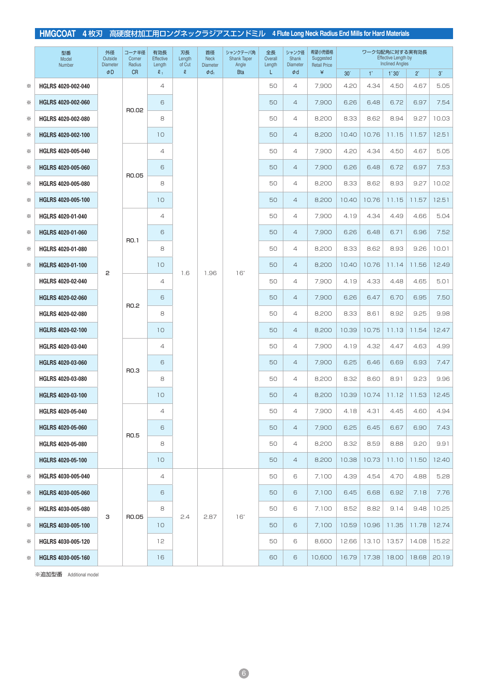|   | 型番<br>Model<br>Number    | 外径<br>Outside<br><b>Diameter</b> | コーナ半径<br>Corner<br>Radius | 有効長<br>Effective<br>Length | 刃長<br>Length<br>of Cut | 首径<br><b>Neck</b><br><b>Diameter</b> | シャンクテーパ角<br>Shank Taper<br>Angle | 全長<br>Overall<br>Length | シャンク径<br>Shank<br><b>Diameter</b> | 希望小売価格<br>Suggested<br><b>Retail Price</b> |                 |             | ワーク勾配角に対する実有効長<br><b>Effective Length by</b><br><b>Inclined Angles</b> |           |           |
|---|--------------------------|----------------------------------|---------------------------|----------------------------|------------------------|--------------------------------------|----------------------------------|-------------------------|-----------------------------------|--------------------------------------------|-----------------|-------------|------------------------------------------------------------------------|-----------|-----------|
|   |                          | $\phi$ D                         | <b>CR</b>                 | $\ell_{1}$                 | $\mathbf g$            | $\phi$ d <sub>1</sub>                | <b>Bta</b>                       | L                       | $\phi$ d                          | ¥                                          | 30 <sup>′</sup> | $1^{\circ}$ | 1°30'                                                                  | $2^\circ$ | $3^\circ$ |
| ☀ | HGLRS 4020-002-040       |                                  |                           | 4                          |                        |                                      |                                  | 50                      | $\overline{4}$                    | 7,900                                      | 4.20            | 4.34        | 4.50                                                                   | 4.67      | 5.05      |
| ☀ | HGLRS 4020-002-060       |                                  | R0.02                     | 6                          |                        |                                      |                                  | 50                      | $\overline{4}$                    | 7.900                                      | 6.26            | 6.48        | 6.72                                                                   | 6.97      | 7.54      |
| ☀ | HGLRS 4020-002-080       |                                  |                           | 8                          |                        |                                      |                                  | 50                      | $\overline{4}$                    | 8,200                                      | 8.33            | 8.62        | 8.94                                                                   | 9.27      | 10.03     |
| ☀ | HGLRS 4020-002-100       |                                  |                           | 10                         |                        |                                      |                                  | 50                      | $\overline{4}$                    | 8,200                                      | 10.40           | 10.76       | 11.15                                                                  | 11.57     | 12.51     |
| ☀ | HGLRS 4020-005-040       |                                  |                           | $\overline{4}$             |                        |                                      |                                  | 50                      | 4                                 | 7,900                                      | 4.20            | 4.34        | 4.50                                                                   | 4.67      | 5.05      |
| ☀ | HGLRS 4020-005-060       |                                  | R0.05                     | 6                          |                        |                                      |                                  | 50                      | $\overline{4}$                    | 7.900                                      | 6.26            | 6.48        | 6.72                                                                   | 6.97      | 7.53      |
| ☀ | HGLRS 4020-005-080       |                                  |                           | 8                          |                        |                                      |                                  | 50                      | $\overline{4}$                    | 8,200                                      | 8.33            | 8.62        | 8.93                                                                   | 9.27      | 10.02     |
| ☀ | HGLRS 4020-005-100       |                                  |                           | 10                         |                        |                                      |                                  | 50                      | $\overline{4}$                    | 8,200                                      | 10.40           | 10.76       | 11.15                                                                  | 11.57     | 12.51     |
| ☀ | HGLRS 4020-01-040        |                                  |                           | $\overline{4}$             |                        |                                      |                                  | 50                      | 4                                 | 7,900                                      | 4.19            | 4.34        | 4.49                                                                   | 4.66      | 5.04      |
| ☀ | HGLRS 4020-01-060        |                                  | RO.1                      | 6                          |                        |                                      |                                  | 50                      | $\overline{4}$                    | 7,900                                      | 6.26            | 6.48        | 6.71                                                                   | 6.96      | 7.52      |
| ☀ | HGLRS 4020-01-080        |                                  |                           | 8                          |                        |                                      |                                  | 50                      | $\overline{\mathcal{L}}$          | 8,200                                      | 8.33            | 8.62        | 8.93                                                                   | 9.26      | 10.01     |
| ☀ | HGLRS 4020-01-100        | 2                                |                           | 10                         | 1.6                    | 1.96                                 | $16^\circ$                       | 50                      | $\overline{4}$                    | 8,200                                      | 10.40           | 10.76       | 11.14                                                                  | 11.56     | 12.49     |
|   | HGLRS 4020-02-040        |                                  |                           | 4                          |                        |                                      |                                  | 50                      | $\overline{4}$                    | 7,900                                      | 4.19            | 4.33        | 4.48                                                                   | 4.65      | 5.01      |
|   | HGLRS 4020-02-060        |                                  | RO.2                      | 6                          |                        |                                      |                                  | 50                      | $\overline{4}$                    | 7.900                                      | 6.26            | 6.47        | 6.70                                                                   | 6.95      | 7.50      |
|   | HGLRS 4020-02-080        |                                  |                           | 8                          |                        |                                      |                                  | 50                      | $\overline{4}$                    | 8,200                                      | 8.33            | 8.61        | 8.92                                                                   | 9.25      | 9.98      |
|   | HGLRS 4020-02-100        |                                  |                           | 10                         |                        |                                      |                                  | 50                      | $\overline{4}$                    | 8,200                                      | 10.39           | 10.75       | 11.13                                                                  | 11.54     | 12.47     |
|   | HGLRS 4020-03-040        |                                  |                           | $\overline{4}$             |                        |                                      |                                  | 50                      | $\overline{4}$                    | 7,900                                      | 4.19            | 4.32        | 4.47                                                                   | 4.63      | 4.99      |
|   | HGLRS 4020-03-060        |                                  | R <sub>0.3</sub>          | 6                          |                        |                                      |                                  | 50                      | $\overline{4}$                    | 7.900                                      | 6.25            | 6.46        | 6.69                                                                   | 6.93      | 7.47      |
|   | HGLRS 4020-03-080        |                                  |                           | 8                          |                        |                                      |                                  | 50                      | 4                                 | 8.200                                      | 8.32            | 8.60        | 8.91                                                                   | 9.23      | 9.96      |
|   | HGLRS 4020-03-100        |                                  |                           | 10                         |                        |                                      |                                  | 50                      | $\overline{4}$                    | 8,200                                      | 10.39           | 10.74       | 11.12                                                                  | 11.53     | 12.45     |
|   | HGLRS 4020-05-040        |                                  |                           | 4                          |                        |                                      |                                  | 50                      | 4                                 | 7,900                                      | 4.18            | 4.31        | 4.45                                                                   | 4.60      | 4.94      |
|   | <b>HGLRS 4020-05-060</b> |                                  | RO.5                      | 6                          |                        |                                      |                                  | 50                      | $\overline{4}$                    | 7,900                                      | 6.25            | 6.45        | 6.67                                                                   | 6.90      | 7.43      |
|   | HGLRS 4020-05-080        |                                  |                           | 8                          |                        |                                      |                                  | 50                      | 4                                 | 8,200                                      | 8.32            | 8.59        | 8.88                                                                   | 9.20      | 9.91      |
|   | HGLRS 4020-05-100        |                                  |                           | 10                         |                        |                                      |                                  | 50                      | $\overline{4}$                    | 8,200                                      | 10.38           | 10.73       | 11.10                                                                  | 11.50     | 12.40     |
| ☀ | HGLRS 4030-005-040       |                                  |                           | 4                          |                        |                                      |                                  | 50                      | 6                                 | 7,100                                      | 4.39            | 4.54        | 4.70                                                                   | 4.88      | 5.28      |
| ☀ | HGLRS 4030-005-060       |                                  |                           | 6                          |                        |                                      |                                  | 50                      | 6                                 | 7,100                                      | 6.45            | 6.68        | 6.92                                                                   | 7.18      | 7.76      |
| ⋇ | HGLRS 4030-005-080       | З                                | R0.05                     | 8                          | 2.4                    | 2.87                                 | $16^\circ$                       | 50                      | 6                                 | 7,100                                      | 8.52            | 8.82        | 9.14                                                                   | 9.48      | 10.25     |
| ⋇ | HGLRS 4030-005-100       |                                  |                           | 10                         |                        |                                      |                                  | 50                      | 6                                 | 7,100                                      | 10.59           | 10.96       | 11.35                                                                  | 11.78     | 12.74     |
| ☀ | HGLRS 4030-005-120       |                                  |                           | 12                         |                        |                                      |                                  | 50                      | 6                                 | 8,600                                      | 12.66           | 13.10       | 13.57                                                                  | 14.08     | 15.22     |
| ☀ | HGLRS 4030-005-160       |                                  |                           | 16                         |                        |                                      |                                  | 60                      | 6                                 | 10,600                                     | 16.79           | 17.38       | 18.00                                                                  | 18.68     | 20.19     |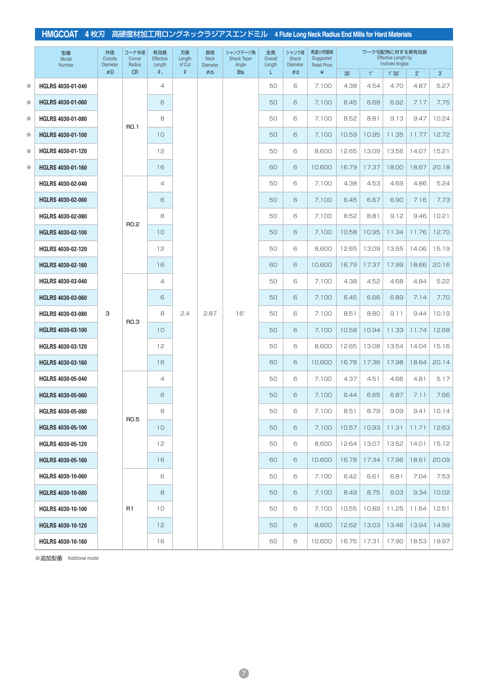|   | 型番<br>Model<br>Number    | 外径<br>Outside<br><b>Diameter</b> | コーナ半径<br>Corner<br>Radius | 有効長<br>Effective<br>Length | 刃長<br>Length<br>of Cut | 首径<br><b>Neck</b><br><b>Diameter</b> | シャンクテーパ角<br><b>Shank Taper</b><br>Angle | 全長<br>Overall<br>Length | シャンク径<br>Shank<br><b>Diameter</b> | 希望小売価格<br>Suggested<br><b>Retail Price</b> |                 |             | ワーク勾配角に対する実有効長<br><b>Effective Length by</b><br><b>Inclined Angles</b> |           |           |
|---|--------------------------|----------------------------------|---------------------------|----------------------------|------------------------|--------------------------------------|-----------------------------------------|-------------------------|-----------------------------------|--------------------------------------------|-----------------|-------------|------------------------------------------------------------------------|-----------|-----------|
|   |                          | $\phi$ D                         | <b>CR</b>                 | $\ell_{1}$                 | S.                     | $\phi$ d <sub>1</sub>                | <b>Bta</b>                              | L.                      | $\phi$ d                          | ¥                                          | 30 <sup>′</sup> | $1^{\circ}$ | $1^\circ 30'$                                                          | $2^\circ$ | $3^\circ$ |
| ☀ | HGLRS 4030-01-040        |                                  |                           | $\overline{4}$             |                        |                                      |                                         | 50                      | 6                                 | 7,100                                      | 4.38            | 4.54        | 4.70                                                                   | 4.87      | 5.27      |
| ☀ | HGLRS 4030-01-060        |                                  |                           | 6                          |                        |                                      |                                         | 50                      | 6                                 | 7,100                                      | 6.45            | 6.68        | 6.92                                                                   | 7.17      | 7.75      |
| ☀ | HGLRS 4030-01-080        |                                  | RO.1                      | 8                          |                        |                                      |                                         | 50                      | 6                                 | 7,100                                      | 8.52            | 8.81        | 9.13                                                                   | 9.47      | 10.24     |
| ☀ | HGLRS 4030-01-100        |                                  |                           | 10                         |                        |                                      |                                         | 50                      | 6                                 | 7,100                                      | 10.59           | 10.95       | 11.35                                                                  | 11.77     | 12.72     |
| ☀ | HGLRS 4030-01-120        |                                  |                           | 12                         |                        |                                      |                                         | 50                      | 6                                 | 8,600                                      | 12.65           | 13.09       | 13.56                                                                  | 14.07     | 15.21     |
| ☀ | HGLRS 4030-01-160        |                                  |                           | 16                         |                        |                                      |                                         | 60                      | 6                                 | 10,600                                     | 16.79           | 17.37       | 18.00                                                                  | 18.67     | 20.18     |
|   | HGLRS 4030-02-040        |                                  |                           | $\overline{4}$             |                        |                                      |                                         | 50                      | 6                                 | 7,100                                      | 4.38            | 4.53        | 4.69                                                                   | 4.86      | 5.24      |
|   | HGLRS 4030-02-060        |                                  |                           | 6                          |                        |                                      |                                         | 50                      | 6                                 | 7,100                                      | 6.45            | 6.67        | 6.90                                                                   | 7.16      | 7.73      |
|   | HGLRS 4030-02-080        |                                  | R <sub>0.2</sub>          | 8                          |                        |                                      |                                         | 50                      | 6                                 | 7,100                                      | 8.52            | 8.81        | 9.12                                                                   | 9.46      | 10.21     |
|   | HGLRS 4030-02-100        |                                  |                           | 10                         |                        |                                      |                                         | 50                      | 6                                 | 7,100                                      | 10.58           | 10.95       | 11.34                                                                  | 11.76     | 12.70     |
|   | HGLRS 4030-02-120        |                                  |                           | 12                         |                        |                                      |                                         | 50                      | 6                                 | 8,600                                      | 12.65           | 13.09       | 13.55                                                                  | 14.06     | 15.19     |
|   | HGLRS 4030-02-160        |                                  |                           | 16                         |                        |                                      |                                         | 60                      | 6                                 | 10,600                                     | 16.79           | 17.37       | 17.99                                                                  | 18.66     | 20.16     |
|   | HGLRS 4030-03-040        |                                  |                           | $\overline{4}$             |                        |                                      |                                         | 50                      | 6                                 | 7,100                                      | 4.38            | 4.52        | 4.68                                                                   | 4.84      | 5.22      |
|   | HGLRS 4030-03-060        |                                  |                           | 6                          |                        |                                      |                                         | 50                      | 6                                 | 7,100                                      | 6.45            | 6.66        | 6.89                                                                   | 7.14      | 7.70      |
|   | HGLRS 4030-03-080        | З                                | R <sub>0.3</sub>          | 8                          | 2.4                    | 2.87                                 | $16^\circ$                              | 50                      | 6                                 | 7,100                                      | 8.51            | 8.80        | 9.11                                                                   | 9.44      | 10.19     |
|   | HGLRS 4030-03-100        |                                  |                           | 10                         |                        |                                      |                                         | 50                      | 6                                 | 7,100                                      | 10.58           | 10.94       | 11.33                                                                  | 11.74     | 12.68     |
|   | HGLRS 4030-03-120        |                                  |                           | 12                         |                        |                                      |                                         | 50                      | 6                                 | 8,600                                      | 12.65           | 13.08       | 13.54                                                                  | 14.04     | 15.16     |
|   | HGLRS 4030-03-160        |                                  |                           | 16                         |                        |                                      |                                         | 60                      | 6                                 | 10,600                                     | 16.78           | 17.36       | 17.98                                                                  | 18.64     | 20.14     |
|   | HGLRS 4030-05-040        |                                  |                           | $\overline{4}$             |                        |                                      |                                         | 50                      | 6                                 | 7,100                                      | 4.37            | 4.51        | 4.66                                                                   | 4.81      | 5.17      |
|   | HGLRS 4030-05-060        |                                  |                           | 6                          |                        |                                      |                                         | 50                      | 6                                 | 7,100                                      | 6.44            | 6.65        | 6.87                                                                   | 7.11      | 7.66      |
|   | HGLRS 4030-05-080        |                                  | R <sub>0.5</sub>          | 8                          |                        |                                      |                                         | 50                      | 6                                 | 7,100                                      | 8.51            | 8.79        | 9.09                                                                   | 9.41      | 10.14     |
|   | <b>HGLRS 4030-05-100</b> |                                  |                           | 10 <sup>°</sup>            |                        |                                      |                                         | 50                      | 6                                 | 7,100                                      | 10.57           | 10.93       | 11.31                                                                  | 11.71     | 12.63     |
|   | <b>HGLRS 4030-05-120</b> |                                  |                           | 12                         |                        |                                      |                                         | 50                      | 6                                 | 8,600                                      | 12.64           | 13.07       | 13.52                                                                  | 14.01     | 15.12     |
|   | <b>HGLRS 4030-05-160</b> |                                  |                           | 16                         |                        |                                      |                                         | 60                      | 6                                 | 10,600                                     | 16.78           | 17.34       | 17.96                                                                  | 18.61     | 20.09     |
|   | HGLRS 4030-10-060        |                                  |                           | 6                          |                        |                                      |                                         | 50                      | 6                                 | 7,100                                      | 6.42            | 6.61        | 6.81                                                                   | 7.04      | 7.53      |
|   | <b>HGLRS 4030-10-080</b> |                                  |                           | 8                          |                        |                                      |                                         | 50                      | 6                                 | 7,100                                      | 8.49            | 8.75        | 9.03                                                                   | 9.34      | 10.02     |
|   | <b>HGLRS 4030-10-100</b> |                                  | R1                        | 10                         |                        |                                      |                                         | 50                      | 6                                 | 7,100                                      | 10.55           | 10.89       | 11.25                                                                  | 11.64     | 12.51     |
|   | <b>HGLRS 4030-10-120</b> |                                  |                           | 12 <sup>°</sup>            |                        |                                      |                                         | 50                      | 6                                 | 8,600                                      | 12.62           | 13.03       | 13.46                                                                  | 13.94     | 14.99     |
|   | HGLRS 4030-10-160        |                                  |                           | 16                         |                        |                                      |                                         | 60                      | 6                                 | 10,600                                     | 16.75           | 17.31       | 17.90                                                                  | 18.53     | 19.97     |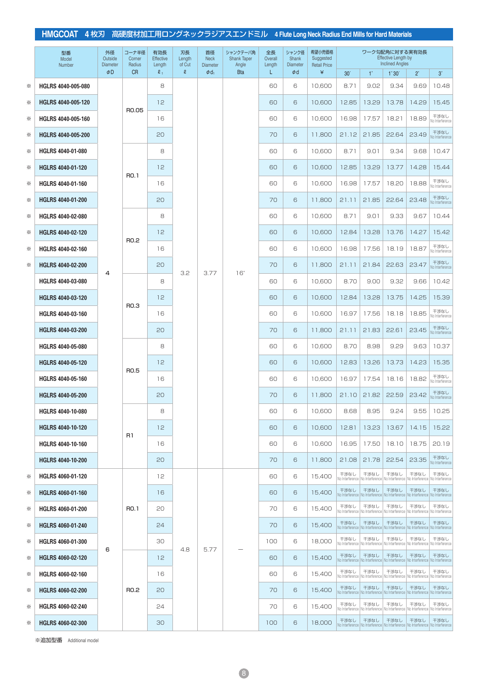|   | 型番<br>Model<br>Number    | 外径<br>Outside<br><b>Diameter</b> | コーナ半径<br>Corner<br>Radius | 有効長<br><b>Effective</b><br>Length | 刃長<br>Length<br>of Cut | 首径<br><b>Neck</b><br><b>Diameter</b> | シャンクテーパ角<br><b>Shank Taper</b><br>Angle | 全長<br>Overall<br>Length | シャンク径<br>Shank<br><b>Diameter</b> | 希望小売価格<br>Suggested<br><b>Retail Price</b> |                         |                         | ワーク勾配角に対する実有効長<br><b>Effective Length by</b><br><b>Inclined Angles</b> |                                                                                                 |                         |
|---|--------------------------|----------------------------------|---------------------------|-----------------------------------|------------------------|--------------------------------------|-----------------------------------------|-------------------------|-----------------------------------|--------------------------------------------|-------------------------|-------------------------|------------------------------------------------------------------------|-------------------------------------------------------------------------------------------------|-------------------------|
|   |                          | $\phi$ D                         | <b>CR</b>                 | $\ell_{1}$                        | $\mathbf g$            | $\phi$ d <sub>1</sub>                | <b>Bta</b>                              | L                       | $\phi$ d                          | ¥                                          | 30 <sup>′</sup>         | $1^{\circ}$             | $1^\circ 30'$                                                          | $2^{\circ}$                                                                                     | $3^\circ$               |
| ☀ | HGLRS 4040-005-080       |                                  |                           | 8                                 |                        |                                      |                                         | 60                      | 6                                 | 10,600                                     | 8.71                    | 9.02                    | 9.34                                                                   | 9.69                                                                                            | 10.48                   |
| ⋇ | HGLRS 4040-005-120       |                                  | R0.05                     | 12                                |                        |                                      |                                         | 60                      | 6                                 | 10.600                                     | 12.85                   | 13.29                   | 13.78                                                                  | 14.29                                                                                           | 15.45                   |
| ☀ | HGLRS 4040-005-160       |                                  |                           | 16                                |                        |                                      |                                         | 60                      | 6                                 | 10,600                                     | 16.98                   | 17.57                   | 18.21                                                                  | 18.89                                                                                           | 干渉なし<br>No Interference |
| ☀ | HGLRS 4040-005-200       |                                  |                           | 20                                |                        |                                      |                                         | 70                      | 6                                 | 11,800                                     | 21.12                   | 21.85                   | 22.64                                                                  | 23.49                                                                                           | 干渉なし<br>No Interference |
| ☀ | HGLRS 4040-01-080        |                                  |                           | 8                                 |                        |                                      |                                         | 60                      | 6                                 | 10,600                                     | 8.71                    | 9.01                    | 9.34                                                                   | 9.68                                                                                            | 10.47                   |
| ☀ | <b>HGLRS 4040-01-120</b> |                                  | RO.1                      | 12                                |                        |                                      |                                         | 60                      | 6                                 | 10,600                                     | 12.85                   | 13.29                   | 13.77                                                                  | 14.28                                                                                           | 15.44                   |
| ☀ | HGLRS 4040-01-160        |                                  |                           | 16                                |                        |                                      |                                         | 60                      | 6                                 | 10.600                                     | 16.98                   | 17.57                   | 18.20                                                                  | 18.88                                                                                           | 干渉なし<br>No Interference |
| ☀ | <b>HGLRS 4040-01-200</b> |                                  |                           | 20                                |                        |                                      |                                         | 70                      | 6                                 | 11,800                                     | 21.11                   | 21.85                   | 22.64                                                                  | 23.48                                                                                           | 干渉なし<br>No Interference |
| ☀ | HGLRS 4040-02-080        |                                  |                           | 8                                 |                        |                                      |                                         | 60                      | 6                                 | 10,600                                     | 8.71                    | 9.01                    | 9.33                                                                   | 9.67                                                                                            | 10.44                   |
| ☀ | HGLRS 4040-02-120        |                                  | RO.2                      | 12                                |                        |                                      |                                         | 60                      | 6                                 | 10,600                                     | 12.84                   | 13.28                   | 13.76                                                                  | 14.27                                                                                           | 15.42                   |
| ☀ | HGLRS 4040-02-160        |                                  |                           | 16                                |                        |                                      |                                         | 60                      | 6                                 | 10,600                                     | 16.98                   | 17.56                   | 18.19                                                                  | 18.87                                                                                           | 干渉なし<br>No Interference |
| ☀ | <b>HGLRS 4040-02-200</b> | 4                                |                           | 20                                | 3.2                    | 3.77                                 | $16^\circ$                              | 70                      | 6                                 | 11.800                                     | 21.11                   | 21.84                   | 22.63                                                                  | 23.47                                                                                           | 干渉なし<br>No Interference |
|   | HGLRS 4040-03-080        |                                  |                           | 8                                 |                        |                                      |                                         | 60                      | 6                                 | 10,600                                     | 8.70                    | 9.00                    | 9.32                                                                   | 9.66                                                                                            | 10.42                   |
|   | HGLRS 4040-03-120        |                                  |                           | 12                                |                        |                                      |                                         | 60                      | 6                                 | 10,600                                     | 12.84                   | 13.28                   | 13.75                                                                  | 14.25                                                                                           | 15.39                   |
|   | HGLRS 4040-03-160        |                                  | R <sub>0.3</sub>          | 16                                |                        |                                      |                                         | 60                      | 6                                 | 10.600                                     | 16.97                   | 17.56                   | 18.18                                                                  | 18.85                                                                                           | 干渉なし<br>No Interference |
|   | HGLRS 4040-03-200        |                                  |                           | 20                                |                        |                                      |                                         | 70                      | 6                                 | 11,800                                     | 21.11                   | 21.83                   | 22.61                                                                  | 23.45                                                                                           | 干渉なし<br>No Interference |
|   | HGLRS 4040-05-080        |                                  |                           | 8                                 |                        |                                      |                                         | 60                      | 6                                 | 10,600                                     | 8.70                    | 8.98                    | 9.29                                                                   | 9.63                                                                                            | 10.37                   |
|   | HGLRS 4040-05-120        |                                  |                           | 12                                |                        |                                      |                                         | 60                      | 6                                 | 10,600                                     | 12.83                   | 13.26                   | 13.73                                                                  | 14.23                                                                                           | 15.35                   |
|   | HGLRS 4040-05-160        |                                  | <b>RO.5</b>               | 16                                |                        |                                      |                                         | 60                      | 6                                 | 10,600                                     | 16.97                   | 17.54                   | 18.16                                                                  | 18.82                                                                                           | 干渉なし<br>No Interference |
|   | <b>HGLRS 4040-05-200</b> |                                  |                           | 20                                |                        |                                      |                                         | 70                      | 6                                 | 11,800                                     | 21.10                   | 21.82                   | 22.59                                                                  | 23.42                                                                                           | 干渉なし<br>No Interference |
|   | HGLRS 4040-10-080        |                                  |                           | 8                                 |                        |                                      |                                         | 60                      | 6                                 | 10,600                                     | 8.68                    | 8.95                    | 9.24                                                                   |                                                                                                 | $9.55$ 10.25            |
|   | <b>HGLRS 4040-10-120</b> |                                  |                           | 12                                |                        |                                      |                                         | 60                      | 6                                 | 10,600                                     | 12.81                   | 13.23                   | 13.67                                                                  | 14.15                                                                                           | 15.22                   |
|   | <b>HGLRS 4040-10-160</b> |                                  | R1                        | 16                                |                        |                                      |                                         | 60                      | 6                                 | 10,600                                     | 16.95                   | 17.50                   | 18.10                                                                  | 18.75                                                                                           | 20.19                   |
|   | <b>HGLRS 4040-10-200</b> |                                  |                           | 20                                |                        |                                      |                                         | 70                      | 6                                 | 11,800                                     | 21.08                   | 21.78                   | 22.54                                                                  | 23.35                                                                                           | 干渉なし<br>No Interference |
| ☀ | <b>HGLRS 4060-01-120</b> |                                  |                           | 12                                |                        |                                      |                                         | 60                      | 6                                 | 15,400                                     | 干渉なし<br>No Interference | 干渉なし<br>No Interference | 干渉なし<br>No Interference                                                | 干渉なし<br>No Interference                                                                         | 干渉なし<br>No Interference |
| ⋇ | HGLRS 4060-01-160        |                                  |                           | 16                                |                        |                                      |                                         | 60                      | 6                                 | 15,400                                     | 干渉なし<br>No Interference | 干渉なし<br>No Interference | 干渉なし<br>No Interference                                                | 干渉なし<br>No Interference                                                                         | 干渉なし<br>No Interference |
| ☀ | HGLRS 4060-01-200        |                                  | RO.1                      | 20                                |                        |                                      |                                         | 70                      | 6                                 | 15,400                                     | 干渉なし<br>No Interference | 干渉なし<br>No Interference | 干渉なし<br>No Interference                                                | 干渉なし<br>No Interference                                                                         | 干渉なし<br>No Interference |
| ⋇ | HGLRS 4060-01-240        |                                  |                           | 24                                |                        |                                      |                                         | 70                      | 6                                 | 15,400                                     | 干渉なし<br>No Interference | 干渉なし<br>No Interference | 干渉なし<br>No Interference                                                | 干渉なし<br>No Interference                                                                         | 干渉なし<br>No Interference |
| ☀ | HGLRS 4060-01-300        |                                  |                           | 30                                |                        |                                      |                                         | 100                     | 6                                 | 18,000                                     | 干渉なし<br>No Interference | 干渉なし<br>No Interference | 干渉なし<br>No Interference                                                | 干渉なし<br>No Interference                                                                         | 干渉なし<br>No Interference |
| ☀ | <b>HGLRS 4060-02-120</b> | 6                                |                           | 12                                | 4.8                    | 5.77                                 |                                         | 60                      | 6                                 | 15,400                                     | 干渉なし<br>No Interference | 干渉なし                    | 干渉なし<br>No Interference   No Interference                              | 干渉なし<br>No Interference                                                                         | 干渉なし<br>No Interference |
| ⋇ | HGLRS 4060-02-160        |                                  |                           | 16                                |                        |                                      |                                         | 60                      | 6                                 | 15,400                                     | 干渉なし<br>No Interference | 干渉なし<br>No Interference | 干渉なし<br>No Interference                                                | 干渉なし<br>No Interference                                                                         | 干渉なし<br>No Interference |
| ⋇ | <b>HGLRS 4060-02-200</b> |                                  | R <sub>0.2</sub>          | 20                                |                        |                                      |                                         | 70                      | 6                                 | 15,400                                     | 干渉なし<br>No Interference | 干渉なし<br>No Interference | 干渉なし<br>No Interference                                                | 干渉なし<br>No Interference                                                                         | 干渉なし<br>No Interference |
| ☀ | HGLRS 4060-02-240        |                                  |                           | 24                                |                        |                                      |                                         | 70                      | 6                                 | 15,400                                     | 干渉なし<br>No Interference | 干渉なし<br>No Interference | 干渉なし<br>No Interference                                                | 干渉なし<br>No Interference                                                                         | 干渉なし<br>No Interference |
| ⋇ | HGLRS 4060-02-300        |                                  |                           | 30                                |                        |                                      |                                         | 100                     | 6                                 | 18,000                                     | 干渉なし                    | 干渉なし                    | 干渉なし                                                                   | 干渉なし<br>No Interference   No Interference   No Interference   No Interference   No Interference | 干渉なし                    |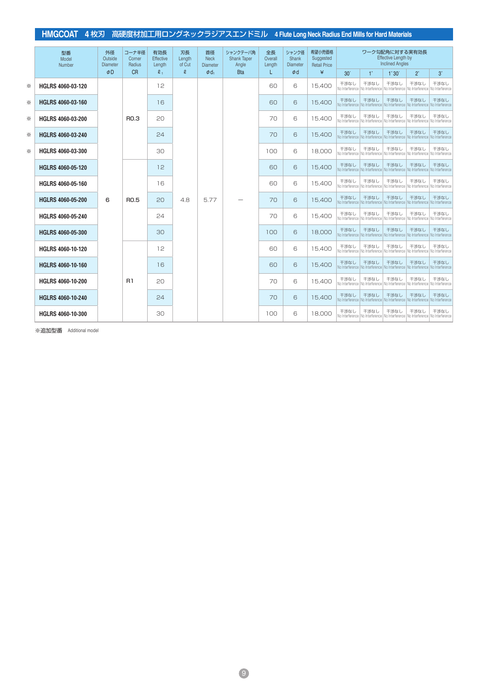|   | 型番<br>Model<br>Number    | 外径<br>Outside<br><b>Diameter</b> | コーナ半径<br>Corner<br>Radius | 有効長<br>Effective<br>Length | 刃長<br>Length<br>of Cut | 首径<br><b>Neck</b><br><b>Diameter</b> | シャンクテーパ角<br><b>Shank Taper</b><br>Angle | 全長<br>Overall<br>Length | シャンク径<br><b>Shank</b><br><b>Diameter</b> | 希望小売価格<br>Suggested<br><b>Retail Price</b> | ワーク勾配角に対する実有効長<br><b>Effective Length by</b><br><b>Inclined Angles</b><br>$1^{\circ}$<br>30 <sup>′</sup> |                                           |                                                                                                 |                         |                         |
|---|--------------------------|----------------------------------|---------------------------|----------------------------|------------------------|--------------------------------------|-----------------------------------------|-------------------------|------------------------------------------|--------------------------------------------|----------------------------------------------------------------------------------------------------------|-------------------------------------------|-------------------------------------------------------------------------------------------------|-------------------------|-------------------------|
|   |                          | $\Phi$ D                         | <b>CR</b>                 | $\ell_{1}$                 | $\mathbf{g}$           | $\phi$ d <sub>1</sub>                | <b>Bta</b>                              |                         | $\phi$ d                                 | ¥                                          |                                                                                                          |                                           | 1°30'                                                                                           | $2^\circ$               | $3^\circ$               |
| ☀ | HGLRS 4060-03-120        |                                  |                           | 12                         |                        |                                      |                                         | 60                      | 6                                        | 15.400                                     | 干渉なし<br>No Interference                                                                                  | 干渉なし<br>No Interference                   | 干渉なし<br>No Interference                                                                         | 干渉なし<br>No Interference | 干渉なし<br>No Interference |
| ⋇ | HGLRS 4060-03-160        |                                  |                           | 16                         |                        |                                      |                                         | 60                      | 6                                        | 15,400                                     | 干渉なし<br>No Interference                                                                                  | 干渉なし<br>No Interference   No Interference | 干渉なし                                                                                            | 干渉なし<br>No Interference | 干渉なし<br>No Interference |
| ⋇ | HGLRS 4060-03-200        |                                  | <b>RO.3</b>               | 20                         |                        |                                      |                                         | 70                      | 6                                        | 15,400                                     | 干渉なし<br>No Interference                                                                                  | 干渉なし<br>No Interference                   | 干渉なし<br>No Interference                                                                         | 干渉なし<br>No Interference | 干渉なし<br>No Interference |
| ☀ | HGLRS 4060-03-240        |                                  |                           | 24                         |                        |                                      |                                         | 70                      | 6                                        | 15.400                                     | 干渉なし<br>No Interference                                                                                  | 干渉なし<br>No Interference                   | 干渉なし<br>No Interference                                                                         | 干渉なし<br>No Interference | 干渉なし<br>No Interference |
| ☀ | HGLRS 4060-03-300        |                                  |                           | 30                         |                        |                                      |                                         | 100                     | 6                                        | 18.000                                     | 干渉なし<br>No Interference                                                                                  | 干渉なし<br>No Interference                   | 干渉なし<br>No Interference                                                                         | 干渉なし<br>No Interference | 干渉なし<br>No Interference |
|   | HGLRS 4060-05-120        |                                  |                           | 12                         |                        |                                      |                                         | 60                      | 6                                        | 15,400                                     | 干渉なし<br>No Interference                                                                                  | 干渉なし<br>No Interference                   | 干渉なし<br>No Interference                                                                         | 干渉なし<br>No Interference | 干渉なし<br>No Interference |
|   | HGLRS 4060-05-160        |                                  |                           | 16                         |                        |                                      |                                         | 60                      | 6                                        | 15,400                                     | 干渉なし<br>No Interference                                                                                  | 干渉なし<br>No Interference                   | 干渉なし<br>No Interference                                                                         | 干渉なし<br>No Interference | 干渉なし<br>No Interference |
|   | HGLRS 4060-05-200        | 6                                | <b>RO.5</b>               | 20                         | 4.8                    | 5.77                                 |                                         | 70                      | 6                                        | 15,400                                     | 干渉なし<br>No Interference                                                                                  | 干渉なし<br>No Interference                   | 干渉なし<br>No Interference                                                                         | 干渉なし<br>No Interference | 干渉なし<br>No Interference |
|   | HGLRS 4060-05-240        |                                  |                           | 24                         |                        |                                      |                                         | 70                      | 6                                        | 15.400                                     | 干渉なし<br>No Interference                                                                                  | 干渉なし<br>No Interference                   | 干渉なし<br>No Interference                                                                         | 干渉なし<br>No Interference | 干渉なし<br>No Interference |
|   | HGLRS 4060-05-300        |                                  |                           | $30^{\circ}$               |                        |                                      |                                         | 100                     | 6                                        | 18.000                                     | 干渉なし<br>No Interference                                                                                  | 干渉なし<br>No Interference                   | 干渉なし<br>No Interference                                                                         | 干渉なし<br>No Interference | 干渉なし<br>No Interference |
|   | <b>HGLRS 4060-10-120</b> |                                  |                           | 12                         |                        |                                      |                                         | 60                      | 6                                        | 15,400                                     | 干渉なし<br>No Interference                                                                                  | 干渉なし<br>No Interference                   | 干渉なし<br>No Interference                                                                         | 干渉なし<br>No Interference | 干渉なし<br>No Interference |
|   | HGLRS 4060-10-160        |                                  |                           | 16                         |                        |                                      |                                         | 60                      | 6                                        | 15,400                                     | 干渉なし<br>No Interference                                                                                  | 干渉なし<br>No Interference                   | 干渉なし<br>No Interference                                                                         | 干渉なし<br>No Interference | 干渉なし<br>No Interference |
|   | HGLRS 4060-10-200        |                                  | R1                        | 20                         |                        |                                      |                                         | 70                      | 6                                        | 15,400                                     | 干渉なし<br>No Interference                                                                                  | 干渉なし<br>No Interference                   | 干渉なし<br>No Interference                                                                         | 干渉なし<br>No Interference | 干渉なし<br>No Interference |
|   | HGLRS 4060-10-240        |                                  |                           | P4                         |                        |                                      |                                         | 70                      | 6                                        | 15,400                                     | 干渉なし<br>No Interference                                                                                  | 干渉なし<br>No Interference                   | 干渉なし<br>No Interference                                                                         | 干渉なし<br>No Interference | 干渉なし<br>No Interference |
|   | HGLRS 4060-10-300        |                                  |                           | 30                         |                        |                                      |                                         | 100                     | 6                                        | 18,000                                     | 干渉なし                                                                                                     | 干渉なし                                      | 干渉なし<br>No Interference   No Interference   No Interference   No Interference   No Interference | 干渉なし                    | 干渉なし                    |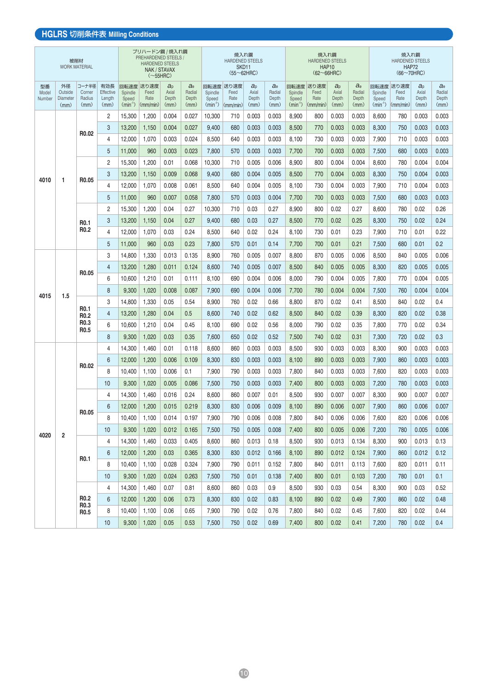### **HGLRS** 切削条件表 **Milling Conditions**

|                       |                                   | 被削材<br><b>WORK MATERIAL</b>          |                                    |                                       | プリハードン鋼 / 焼入れ鋼<br><b>PREHARDENED STEELS</b><br><b>HARDENED STEELS</b><br>NAK / STAVAX<br>$(\sim 55HRC)$ |                                          |                                    |                                       | 焼入れ鋼<br><b>HARDENED STEELS</b><br>SKD <sub>11</sub><br>$(55 \sim 62$ HRC) |                                          |                              |                               | 焼入れ鋼<br><b>HARDENED STEELS</b><br><b>HAP10</b><br>$(62 \sim 66$ HRC |                                   |                                    |                                       | 焼入れ鋼<br><b>HARDENED STEELS</b><br><b>HAP72</b><br>$(66 \sim 70$ HRC) |                                       |                                    |
|-----------------------|-----------------------------------|--------------------------------------|------------------------------------|---------------------------------------|---------------------------------------------------------------------------------------------------------|------------------------------------------|------------------------------------|---------------------------------------|---------------------------------------------------------------------------|------------------------------------------|------------------------------|-------------------------------|---------------------------------------------------------------------|-----------------------------------|------------------------------------|---------------------------------------|----------------------------------------------------------------------|---------------------------------------|------------------------------------|
| 型番<br>Model<br>Number | 外径<br>Outside<br>Diameter<br>(mm) | コーナ半径<br>Corner<br>Radius<br>(mm)    | 有効長<br>Effective<br>Length<br>(mm) | 回転速度<br>Spindle<br>Speed<br>$(min-1)$ | 送り速度<br>Feed<br>Rate<br>$\langle$ mm/min $\rangle$                                                      | a <sub>D</sub><br>Axial<br>Depth<br>(mm) | $a_{e}$<br>Radial<br>Depth<br>(mm) | 回転速度<br>Spindle<br>Speed<br>$(min-1)$ | 送り速度<br>Feed<br>Rate<br>$\langle$ (mm/min)                                | a <sub>0</sub><br>Axial<br>Depth<br>(mm) | a<br>Radial<br>Depth<br>(mm) | Spindle<br>Speed<br>$(min-1)$ | 回転速度 送り速度<br>Feed<br>Rate<br>$\langle$ mm/min $\rangle$             | $a_{p}$<br>Axial<br>Depth<br>(mm) | $a_{e}$<br>Radial<br>Depth<br>(mm) | 回転速度<br>Spindle<br>Speed<br>$(min-1)$ | 送り速度<br>Feed<br>Rate<br>$\langle$ mm/min                             | $a_{\rm D}$<br>Axial<br>Depth<br>(mm) | $a_{e}$<br>Radial<br>Depth<br>(mm) |
|                       |                                   |                                      | 2                                  | 15,300                                | 1,200                                                                                                   | 0.004                                    | 0.027                              | 10,300                                | 710                                                                       | 0.003                                    | 0.003                        | 8,900                         | 800                                                                 | 0.003                             | 0.003                              | 8,600                                 | 780                                                                  | 0.003                                 | 0.003                              |
|                       |                                   |                                      | 3                                  | 13,200                                | 1,150                                                                                                   | 0.004                                    | 0.027                              | 9,400                                 | 680                                                                       | 0.003                                    | 0.003                        | 8,500                         | 770                                                                 | 0.003                             | 0.003                              | 8.300                                 | 750                                                                  | 0.003                                 | 0.003                              |
|                       |                                   | R <sub>0.02</sub>                    | 4                                  | 12,000                                | 1,070                                                                                                   | 0.003                                    | 0.024                              | 8,500                                 | 640                                                                       | 0.003                                    | 0.003                        | 8,100                         | 730                                                                 | 0.003                             | 0.003                              | 7,900                                 | 710                                                                  | 0.003                                 | 0.003                              |
|                       |                                   |                                      | 5                                  | 11,000                                | 960                                                                                                     | 0.003                                    | 0.023                              | 7,800                                 | 570                                                                       | 0.003                                    | 0.003                        | 7,700                         | 700                                                                 | 0.003                             | 0.003                              | 7,500                                 | 680                                                                  | 0.003                                 | 0.003                              |
|                       |                                   |                                      | 2                                  | 15,300                                | 1,200                                                                                                   | 0.01                                     | 0.068                              | 10,300                                | 710                                                                       | 0.005                                    | 0.006                        | 8,900                         | 800                                                                 | 0.004                             | 0.004                              | 8,600                                 | 780                                                                  | 0.004                                 | 0.004                              |
| 4010                  | 1                                 | R <sub>0.05</sub>                    | 3                                  | 13,200                                | 1,150                                                                                                   | 0.009                                    | 0.068                              | 9,400                                 | 680                                                                       | 0.004                                    | 0.005                        | 8,500                         | 770                                                                 | 0.004                             | 0.003                              | 8,300                                 | 750                                                                  | 0.004                                 | 0.003                              |
|                       |                                   |                                      | 4                                  | 12,000                                | 1,070                                                                                                   | 0.008                                    | 0.061                              | 8,500                                 | 640                                                                       | 0.004                                    | 0.005                        | 8,100                         | 730                                                                 | 0.004                             | 0.003                              | 7,900                                 | 710                                                                  | 0.004                                 | 0.003                              |
|                       |                                   |                                      | 5                                  | 11,000                                | 960                                                                                                     | 0.007                                    | 0.058                              | 7,800                                 | 570                                                                       | 0.003                                    | 0.004                        | 7,700                         | 700                                                                 | 0.003                             | 0.003                              | 7,500                                 | 680                                                                  | 0.003                                 | 0.003                              |
|                       |                                   |                                      | $\overline{2}$                     | 15,300                                | 1,200                                                                                                   | 0.04                                     | 0.27                               | 10,300                                | 710                                                                       | 0.03                                     | 0.27                         | 8,900                         | 800                                                                 | 0.02                              | 0.27                               | 8.600                                 | 780                                                                  | 0.02                                  | 0.26                               |
|                       |                                   | <b>RO.1</b>                          | 3                                  | 13,200                                | 1,150                                                                                                   | 0.04                                     | 0.27                               | 9,400                                 | 680                                                                       | 0.03                                     | 0.27                         | 8,500                         | 770                                                                 | 0.02                              | 0.25                               | 8,300                                 | 750                                                                  | 0.02                                  | 0.24                               |
|                       |                                   | R <sub>0.2</sub>                     | 4                                  | 12,000                                | 1,070                                                                                                   | 0.03                                     | 0.24                               | 8,500                                 | 640                                                                       | 0.02                                     | 0.24                         | 8,100                         | 730                                                                 | 0.01                              | 0.23                               | 7,900                                 | 710                                                                  | 0.01                                  | 0.22                               |
|                       |                                   |                                      | 5                                  | 11,000                                | 960                                                                                                     | 0.03                                     | 0.23                               | 7,800                                 | 570                                                                       | 0.01                                     | 0.14                         | 7,700                         | 700                                                                 | 0.01                              | 0.21                               | 7,500                                 | 680                                                                  | 0.01                                  | 0.2                                |
|                       |                                   |                                      | 3                                  | 14.800                                | 1,330                                                                                                   | 0.013                                    | 0.135                              | 8.900                                 | 760                                                                       | 0.005                                    | 0.007                        | 8.800                         | 870                                                                 | 0.005                             | 0.006                              | 8.500                                 | 840                                                                  | 0.005                                 | 0.006                              |
|                       |                                   | R <sub>0.05</sub>                    | 4                                  | 13,200                                | 1,280                                                                                                   | 0.011                                    | 0.124                              | 8,600                                 | 740                                                                       | 0.005                                    | 0.007                        | 8,500                         | 840                                                                 | 0.005                             | 0.005                              | 8,300                                 | 820                                                                  | 0.005                                 | 0.005                              |
|                       |                                   |                                      | 6                                  | 10,600                                | 1,210                                                                                                   | 0.01                                     | 0.111                              | 8,100                                 | 690                                                                       | 0.004                                    | 0.006                        | 8,000                         | 790                                                                 | 0.004                             | 0.005                              | 7,800                                 | 770                                                                  | 0.004                                 | 0.005                              |
| 4015                  | 1.5                               |                                      | 8                                  | 9,300                                 | 1,020                                                                                                   | 0.008                                    | 0.087                              | 7,900                                 | 690                                                                       | 0.004                                    | 0.006                        | 7,700                         | 780                                                                 | 0.004                             | 0.004                              | 7,500                                 | 760                                                                  | 0.004                                 | 0.004                              |
|                       |                                   |                                      | 3                                  | 14,800                                | 1,330                                                                                                   | 0.05                                     | 0.54                               | 8,900                                 | 760                                                                       | 0.02                                     | 0.66                         | 8,800                         | 870                                                                 | 0.02                              | 0.41                               | 8,500                                 | 840                                                                  | 0.02                                  | 0.4                                |
|                       |                                   | R <sub>0.1</sub><br>R <sub>0.2</sub> | 4                                  | 13,200                                | 1,280                                                                                                   | 0.04                                     | 0.5                                | 8,600                                 | 740                                                                       | 0.02                                     | 0.62                         | 8,500                         | 840                                                                 | 0.02                              | 0.39                               | 8,300                                 | 820                                                                  | 0.02                                  | 0.38                               |
|                       |                                   | R <sub>0.3</sub><br>R <sub>0.5</sub> | 6                                  | 10,600                                | 1,210                                                                                                   | 0.04                                     | 0.45                               | 8,100                                 | 690                                                                       | 0.02                                     | 0.56                         | 8,000                         | 790                                                                 | 0.02                              | 0.35                               | 7,800                                 | 770                                                                  | 0.02                                  | 0.34                               |
|                       |                                   |                                      | 8                                  | 9,300                                 | 1,020                                                                                                   | 0.03                                     | 0.35                               | 7.600                                 | 650                                                                       | 0.02                                     | 0.52                         | 7,500                         | 740                                                                 | 0.02                              | 0.31                               | 7,300                                 | 720                                                                  | 0.02                                  | 0.3                                |
|                       |                                   |                                      | 4                                  | 14,300                                | 1,460                                                                                                   | 0.01                                     | 0.118                              | 8,600                                 | 860                                                                       | 0.003                                    | 0.003                        | 8,500                         | 930                                                                 | 0.003                             | 0.003                              | 8,300                                 | 900                                                                  | 0.003                                 | 0.003                              |
|                       |                                   | R <sub>0.02</sub>                    | 6                                  | 12,000                                | 1,200                                                                                                   | 0.006                                    | 0.109                              | 8,300                                 | 830                                                                       | 0.003                                    | 0.003                        | 8,100                         | 890                                                                 | 0.003                             | 0.003                              | 7,900                                 | 860                                                                  | 0.003                                 | 0.003                              |
|                       |                                   |                                      | 8                                  | 10,400                                | 1,100                                                                                                   | 0.006                                    | 0.1                                | 7,900                                 | 790                                                                       | 0.003                                    | 0.003                        | 7,800                         | 840                                                                 | 0.003                             | 0.003                              | 7,600                                 | 820                                                                  | 0.003                                 | 0.003                              |
|                       |                                   |                                      | 10                                 | 9,300                                 | 1,020                                                                                                   | 0.005                                    | 0.086                              | 7,500                                 | 750                                                                       | 0.003                                    | 0.003                        | 7,400                         | 800                                                                 | 0.003                             | 0.003                              | 7,200                                 | 780                                                                  | 0.003                                 | 0.003                              |
|                       |                                   |                                      | 4                                  | 14,300                                | 1,460                                                                                                   | 0.016                                    | 0.24                               | 8,600                                 | 860                                                                       | 0.007                                    | 0.01                         | 8,500                         | 930                                                                 | 0.007                             | 0.007                              | 8,300                                 | 900                                                                  | 0.007                                 | 0.007                              |
|                       |                                   | R0.05                                | 6                                  | 12.000                                | 1,200                                                                                                   | 0.015                                    | 0.219                              | 8.300                                 | 830                                                                       | 0.006                                    | 0.009                        | 8.100                         | 890                                                                 | 0.006                             | 0.007                              | 7,900                                 | 860                                                                  | 0.006                                 | 0.007                              |
|                       |                                   |                                      | 8                                  | 10,400                                | 1,100                                                                                                   | 0.014                                    | 0.197                              | 7,900                                 | 790                                                                       | 0.006                                    | 0.008                        | 7,800                         | 840                                                                 | 0.006                             | 0.006                              | 7,600                                 | 820                                                                  | 0.006                                 | 0.006                              |
| 4020                  | 2                                 |                                      | 10                                 | 9,300                                 | 1,020                                                                                                   | 0.012                                    | 0.165                              | 7,500                                 | 750                                                                       | 0.005                                    | 0.008                        | 7,400                         | 800                                                                 | 0.005                             | 0.006                              | 7,200                                 | 780                                                                  | 0.005                                 | 0.006                              |
|                       |                                   |                                      | 4                                  | 14,300                                | 1,460                                                                                                   | 0.033                                    | 0.405                              | 8,600                                 | 860                                                                       | 0.013                                    | 0.18                         | 8,500                         | 930                                                                 | 0.013                             | 0.134                              | 8,300                                 | 900                                                                  | 0.013                                 | 0.13                               |
|                       |                                   | R <sub>0.1</sub>                     | 6                                  | 12,000                                | 1,200                                                                                                   | 0.03                                     | 0.365                              | 8,300                                 | 830                                                                       | 0.012                                    | 0.166                        | 8,100                         | 890                                                                 | 0.012                             | 0.124                              | 7,900                                 | 860                                                                  | 0.012                                 | 0.12                               |
|                       |                                   |                                      | 8                                  | 10,400                                | 1,100                                                                                                   | 0.028                                    | 0.324                              | 7,900                                 | 790                                                                       | 0.011                                    | 0.152                        | 7,800                         | 840                                                                 | 0.011                             | 0.113                              | 7,600                                 | 820                                                                  | 0.011                                 | 0.11                               |
|                       |                                   |                                      | 10                                 | 9,300                                 | 1,020                                                                                                   | 0.024                                    | 0.263                              | 7,500                                 | 750                                                                       | 0.01                                     | 0.138                        | 7,400                         | 800                                                                 | 0.01                              | 0.103                              | 7,200                                 | 780                                                                  | 0.01                                  | 0.1                                |
|                       |                                   |                                      | 4                                  | 14,300                                | 1,460                                                                                                   | 0.07                                     | 0.81                               | 8,600                                 | 860                                                                       | 0.03                                     | 0.9                          | 8,500                         | 930                                                                 | 0.03                              | 0.54                               | 8,300                                 | 900                                                                  | 0.03                                  | 0.52                               |
|                       |                                   | R <sub>0.2</sub><br>R0.3             | 6                                  | 12,000                                | 1,200                                                                                                   | 0.06                                     | 0.73                               | 8,300                                 | 830                                                                       | 0.02                                     | 0.83                         | 8,100                         | 890                                                                 | 0.02                              | 0.49                               | 7,900                                 | 860                                                                  | 0.02                                  | 0.48                               |
|                       |                                   | R <sub>0.5</sub>                     | 8                                  | 10,400                                | 1,100                                                                                                   | 0.06                                     | 0.65                               | 7,900                                 | 790                                                                       | 0.02                                     | 0.76                         | 7,800                         | 840                                                                 | 0.02                              | 0.45                               | 7,600                                 | 820                                                                  | 0.02                                  | 0.44                               |
|                       |                                   |                                      | 10                                 | 9,300                                 | 1,020                                                                                                   | 0.05                                     | 0.53                               | 7,500                                 | 750                                                                       | 0.02                                     | 0.69                         | 7,400                         | 800                                                                 | 0.02                              | 0.41                               | 7,200                                 | 780                                                                  | 0.02                                  | 0.4                                |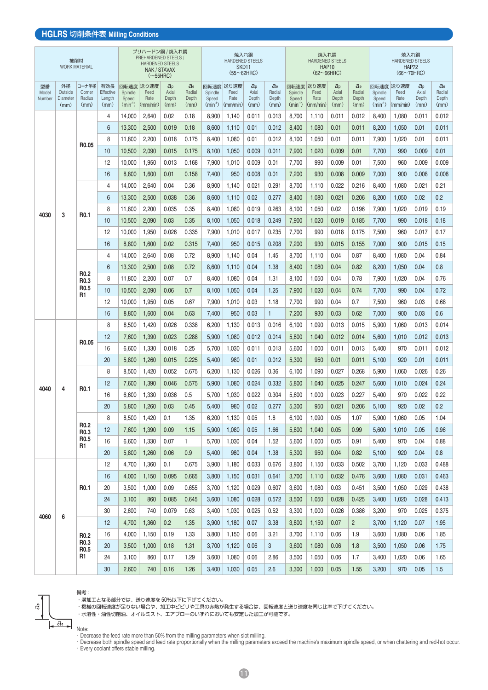#### **HGLRS** 切削条件表 **Milling Conditions**

|                       |                                          | 被削材<br><b>WORK MATERIAL</b>          |                                    |                               | プリハードン鋼 / 焼入れ鋼<br><b>PREHARDENED STEELS /</b><br><b>HARDENED STEELS</b><br>NAK / STAVAX<br>$(\sim 55$ HRC) |                                   |                                    |                                       | 焼入れ鋼<br><b>HARDENED STEELS</b><br>SKD <sub>11</sub><br>$(55 \sim 62$ HRC |                                   |                                    |                               | 焼入れ鋼<br><b>HARDENED STEELS</b><br><b>HAP10</b><br>$(62 \sim 66$ HRC) |                                   |                                  |                                       | 焼入れ鋼<br><b>HARDENED STEELS</b><br><b>HAP72</b><br>$(66 \sim 70$ HRC) |                             |                                  |
|-----------------------|------------------------------------------|--------------------------------------|------------------------------------|-------------------------------|------------------------------------------------------------------------------------------------------------|-----------------------------------|------------------------------------|---------------------------------------|--------------------------------------------------------------------------|-----------------------------------|------------------------------------|-------------------------------|----------------------------------------------------------------------|-----------------------------------|----------------------------------|---------------------------------------|----------------------------------------------------------------------|-----------------------------|----------------------------------|
| 型番<br>Model<br>Number | 外径<br>Outside<br><b>Diameter</b><br>(mm) | コーナ半径<br>Corner<br>Radius<br>(mm)    | 有効長<br>Effective<br>Length<br>(mm) | Spindle<br>Speed<br>$(min-1)$ | 回転速度 送り速度<br>Feed<br>Rate<br>$\langle$ mm/min                                                              | $a_{p}$<br>Axial<br>Depth<br>(mm) | $a_{e}$<br>Radial<br>Depth<br>(mm) | 回転速度<br>Spindle<br>Speed<br>$(min-1)$ | 送り速度<br>Feed<br>Rate<br>$\langle$ mm/min $\rangle$                       | $a_{p}$<br>Axial<br>Depth<br>(mm) | $a_{e}$<br>Radial<br>Depth<br>(mm) | Spindle<br>Speed<br>$(min-1)$ | 回転速度 送り速度<br>Feed<br>Rate<br>$\langle$ mm/min $\rangle$              | $a_{p}$<br>Axial<br>Depth<br>(mm) | $a_e$<br>Radial<br>Depth<br>(mm) | 回転速度<br>Spindle<br>Speed<br>$(min-1)$ | 送り速度<br>Feed<br>Rate<br>(mm/min)                                     | a<br>Axial<br>Depth<br>(mm) | $a_e$<br>Radial<br>Depth<br>(mm) |
|                       |                                          |                                      | 4                                  | 14,000                        | 2,640                                                                                                      | 0.02                              | 0.18                               | 8,900                                 | 1,140                                                                    | 0.011                             | 0.013                              | 8,700                         | 1,110                                                                | 0.011                             | 0.012                            | 8,400                                 | 1,080                                                                | 0.011                       | 0.012                            |
|                       |                                          |                                      | 6                                  | 13,300                        | 2,500                                                                                                      | 0.019                             | 0.18                               | 8,600                                 | 1,110                                                                    | 0.01                              | 0.012                              | 8,400                         | 1,080                                                                | 0.01                              | 0.011                            | 8,200                                 | 1,050                                                                | 0.01                        | 0.011                            |
|                       |                                          | R <sub>0.05</sub>                    | 8                                  | 11,800                        | 2,200                                                                                                      | 0.018                             | 0.175                              | 8,400                                 | 1,080                                                                    | 0.01                              | 0.012                              | 8,100                         | 1,050                                                                | 0.01                              | 0.011                            | 7,900                                 | 1,020                                                                | 0.01                        | 0.011                            |
|                       |                                          |                                      | 10                                 | 10,500                        | 2,090                                                                                                      | 0.015                             | 0.175                              | 8,100                                 | 1,050                                                                    | 0.009                             | 0.011                              | 7,900                         | 1,020                                                                | 0.009                             | 0.01                             | 7,700                                 | 990                                                                  | 0.009                       | 0.01                             |
|                       |                                          |                                      | 12                                 | 10,000                        | 1,950                                                                                                      | 0.013                             | 0.168                              | 7,900                                 | 1,010                                                                    | 0.009                             | 0.01                               | 7,700                         | 990                                                                  | 0.009                             | 0.01                             | 7,500                                 | 960                                                                  | 0.009                       | 0.009                            |
|                       |                                          |                                      | 16                                 | 8,800                         | 1,600                                                                                                      | 0.01                              | 0.158                              | 7,400                                 | 950                                                                      | 0.008                             | 0.01                               | 7,200                         | 930                                                                  | 0.008                             | 0.009                            | 7,000                                 | 900                                                                  | 0.008                       | 0.008                            |
|                       |                                          |                                      | 4                                  | 14,000                        | 2,640                                                                                                      | 0.04                              | 0.36                               | 8,900                                 | 1,140                                                                    | 0.021                             | 0.291                              | 8,700                         | 1,110                                                                | 0.022                             | 0.216                            | 8,400                                 | 1,080                                                                | 0.021                       | 0.21                             |
|                       |                                          |                                      | 6                                  | 13,300                        | 2,500                                                                                                      | 0.038                             | 0.36                               | 8,600                                 | 1,110                                                                    | 0.02                              | 0.277                              | 8,400                         | 1,080                                                                | 0.021                             | 0.206                            | 8,200                                 | 1,050                                                                | 0.02                        | 0.2                              |
| 4030                  | 3                                        | R <sub>0.1</sub>                     | 8                                  | 11,800                        | 2,200                                                                                                      | 0.035                             | 0.35                               | 8,400                                 | 1,080                                                                    | 0.019                             | 0.263                              | 8,100                         | 1,050                                                                | 0.02                              | 0.196                            | 7,900                                 | 1,020                                                                | 0.019                       | 0.19                             |
|                       |                                          |                                      | 10                                 | 10,500                        | 2,090                                                                                                      | 0.03                              | 0.35                               | 8.100                                 | 1,050                                                                    | 0.018                             | 0.249                              | 7,900                         | 1,020                                                                | 0.019                             | 0.185                            | 7,700                                 | 990                                                                  | 0.018                       | 0.18                             |
|                       |                                          |                                      | 12                                 | 10,000                        | 1,950                                                                                                      | 0.026                             | 0.335                              | 7,900                                 | 1,010                                                                    | 0.017                             | 0.235                              | 7,700                         | 990                                                                  | 0.018                             | 0.175                            | 7,500                                 | 960                                                                  | 0.017                       | 0.17                             |
|                       |                                          |                                      | 16                                 | 8,800                         | 1,600                                                                                                      | 0.02                              | 0.315                              | 7,400                                 | 950                                                                      | 0.015                             | 0.208                              | 7,200                         | 930                                                                  | 0.015                             | 0.155                            | 7,000                                 | 900                                                                  | 0.015                       | 0.15                             |
|                       |                                          |                                      | 4                                  | 14,000                        | 2,640                                                                                                      | 0.08                              | 0.72                               | 8,900                                 | 1.140                                                                    | 0.04                              | 1.45                               | 8.700                         | 1,110                                                                | 0.04                              | 0.87                             | 8,400                                 | 1,080                                                                | 0.04                        | 0.84                             |
|                       |                                          | <b>R0.2</b>                          | 6                                  | 13,300                        | 2,500                                                                                                      | 0.08                              | 0.72                               | 8,600                                 | 1,110                                                                    | 0.04                              | 1.38                               | 8,400                         | 1,080                                                                | 0.04                              | 0.82                             | 8,200                                 | 1,050                                                                | 0.04                        | 0.8                              |
|                       |                                          | R <sub>0.3</sub>                     | 8                                  | 11,800                        | 2,200                                                                                                      | 0.07                              | 0.7                                | 8,400                                 | 1,080                                                                    | 0.04                              | 1.31                               | 8,100                         | 1,050                                                                | 0.04                              | 0.78                             | 7,900                                 | 1,020                                                                | 0.04                        | 0.76                             |
|                       |                                          | R <sub>0.5</sub><br>R <sub>1</sub>   | 10                                 | 10,500                        | 2,090                                                                                                      | 0.06                              | 0.7                                | 8,100                                 | 1,050                                                                    | 0.04                              | 1.25                               | 7,900                         | 1,020                                                                | 0.04                              | 0.74                             | 7,700                                 | 990                                                                  | 0.04                        | 0.72                             |
|                       |                                          |                                      | 12                                 | 10,000                        | 1,950                                                                                                      | 0.05                              | 0.67                               | 7.900                                 | 1,010                                                                    | 0.03                              | 1.18                               | 7,700                         | 990                                                                  | 0.04                              | 0.7                              | 7.500                                 | 960                                                                  | 0.03                        | 0.68                             |
|                       |                                          |                                      | 16                                 | 8,800                         | 1,600                                                                                                      | 0.04                              | 0.63                               | 7,400                                 | 950                                                                      | 0.03                              | 1                                  | 7,200                         | 930                                                                  | 0.03                              | 0.62                             | 7,000                                 | 900                                                                  | 0.03                        | 0.6                              |
|                       |                                          |                                      | 8                                  | 8,500                         | 1,420                                                                                                      | 0.026                             | 0.338                              | 6,200                                 | 1.130                                                                    | 0.013                             | 0.016                              | 6.100                         | 1.090                                                                | 0.013                             | 0.015                            | 5,900                                 | 1,060                                                                | 0.013                       | 0.014                            |
|                       |                                          | R <sub>0.05</sub>                    | 12                                 | 7,600                         | 1,390                                                                                                      | 0.023                             | 0.288                              | 5,900                                 | 1,080                                                                    | 0.012                             | 0.014                              | 5,800                         | 1,040                                                                | 0.012                             | 0.014                            | 5,600                                 | 1,010                                                                | 0.012                       | 0.013                            |
|                       |                                          |                                      | 16                                 | 6.600                         | 1,330                                                                                                      | 0.018                             | 0.25                               | 5.700                                 | 1.030                                                                    | 0.011                             | 0.013                              | 5.600                         | 1,000                                                                | 0.011                             | 0.013                            | 5.400                                 | 970                                                                  | 0.011                       | 0.012                            |
|                       |                                          |                                      | 20                                 | 5,800                         | 1,260                                                                                                      | 0.015                             | 0.225                              | 5,400                                 | 980                                                                      | 0.01                              | 0.012                              | 5,300                         | 950                                                                  | 0.01                              | 0.011                            | 5,100                                 | 920                                                                  | 0.01                        | 0.011                            |
|                       |                                          |                                      | 8                                  | 8,500                         | 1,420                                                                                                      | 0.052                             | 0.675                              | 6,200                                 | 1,130                                                                    | 0.026                             | 0.36                               | 6,100                         | 1,090                                                                | 0.027                             | 0.268                            | 5,900                                 | 1,060                                                                | 0.026                       | 0.26                             |
| 4040                  | 4                                        | R <sub>0.1</sub>                     | 12                                 | 7,600                         | 1,390                                                                                                      | 0.046                             | 0.575                              | 5,900                                 | 1,080                                                                    | 0.024                             | 0.332                              | 5,800                         | 1,040                                                                | 0.025                             | 0.247                            | 5,600                                 | 1,010                                                                | 0.024                       | 0.24                             |
|                       |                                          |                                      | 16<br>20                           | 6.600<br>5,800                | 1,330<br>1,260                                                                                             | 0.036<br>0.03                     | 0.5<br>0.45                        | 5,700<br>5.400                        | 1,030<br>980                                                             | 0.022<br>0.02                     | 0.304                              | 5,600<br>5,300                | 1,000<br>950                                                         | 0.023<br>0.021                    | 0.227<br>0.206                   | 5,400                                 | 970<br>920                                                           | 0.022<br>0.02               | 0.22<br>0.2                      |
|                       |                                          |                                      | 8                                  | 8,500                         | 1,420                                                                                                      | 0.1                               | 1.35                               | 6,200                                 | 1,130                                                                    | 0.05                              | 0.277<br>1.8                       | 6,100                         | 1,090                                                                | 0.05                              | 1.07                             | 5,100<br>5,900                        | 1,060                                                                | 0.05                        | 1.04                             |
|                       |                                          | R <sub>0.2</sub>                     | 12                                 | 7,600                         | 1,390                                                                                                      | 0.09                              | 1.15                               | 5,900                                 | 1,080                                                                    | 0.05                              | 1.66                               | 5,800                         | 1,040                                                                | 0.05                              | 0.99                             | 5,600                                 | 1,010                                                                | 0.05                        | 0.96                             |
|                       |                                          | R <sub>0.3</sub><br>R <sub>0.5</sub> | 16                                 | 6,600                         | 1,330                                                                                                      | 0.07                              | $\mathbf{1}$                       | 5,700                                 | 1,030                                                                    | 0.04                              | 1.52                               | 5,600                         | 1,000                                                                | 0.05                              | 0.91                             | 5,400                                 | 970                                                                  | 0.04                        | 0.88                             |
|                       |                                          | R1                                   | 20                                 | 5,800                         | 1,260                                                                                                      | 0.06                              | 0.9                                | 5,400                                 | 980                                                                      | 0.04                              | 1.38                               | 5,300                         | 950                                                                  | 0.04                              | 0.82                             | 5,100                                 | 920                                                                  | 0.04                        | 0.8                              |
|                       |                                          |                                      | 12                                 | 4,700                         | 1,360                                                                                                      | 0.1                               | 0.675                              | 3,900                                 | 1,180                                                                    | 0.033                             | 0.676                              | 3,800                         | 1,150                                                                | 0.033                             | 0.502                            | 3,700                                 | 1,120                                                                | 0.033                       | 0.488                            |
|                       |                                          |                                      | 16                                 | 4,000                         | 1,150                                                                                                      | 0.095                             | 0.665                              | 3,800                                 | 1,150                                                                    | 0.031                             | 0.641                              | 3,700                         | 1,110                                                                | 0.032                             | 0.476                            | 3,600                                 | 1,080                                                                | 0.031                       | 0.463                            |
|                       |                                          | R <sub>0.1</sub>                     | 20                                 | 3,500                         | 1,000                                                                                                      | 0.09                              | 0.655                              | 3,700                                 | 1,120                                                                    | 0.029                             | 0.607                              | 3,600                         | 1,080                                                                | 0.03                              | 0.451                            | 3,500                                 | 1,050                                                                | 0.029                       | 0.438                            |
|                       |                                          |                                      | 24                                 | 3,100                         | 860                                                                                                        | 0.085                             | 0.645                              | 3,600                                 | 1,080                                                                    | 0.028                             | 0.572                              | 3,500                         | 1,050                                                                | 0.028                             | 0.425                            | 3,400                                 | 1,020                                                                | 0.028                       | 0.413                            |
|                       |                                          |                                      | 30                                 | 2,600                         | 740                                                                                                        | 0.079                             | 0.63                               | 3,400                                 | 1,030                                                                    | 0.025                             | 0.52                               | 3,300                         | 1,000                                                                | 0.026                             | 0.386                            | 3,200                                 | 970                                                                  | 0.025                       | 0.375                            |
| 4060                  | 6                                        |                                      | 12                                 | 4,700                         | 1,360                                                                                                      | 0.2                               | 1.35                               | 3,900                                 | 1,180                                                                    | 0.07                              | 3.38                               | 3,800                         | 1,150                                                                | 0.07                              | $\overline{2}$                   | 3,700                                 | 1,120                                                                | 0.07                        | 1.95                             |
|                       |                                          | R <sub>0.2</sub>                     | 16                                 | 4,000                         | 1,150                                                                                                      | 0.19                              | 1.33                               | 3,800                                 | 1,150                                                                    | 0.06                              | 3.21                               | 3,700                         | 1,110                                                                | 0.06                              | 1.9                              | 3,600                                 | 1,080                                                                | 0.06                        | 1.85                             |
|                       |                                          | R <sub>0.3</sub>                     | 20                                 | 3,500                         | 1,000                                                                                                      | 0.18                              | 1.31                               | 3,700                                 | 1,120                                                                    | 0.06                              | 3                                  | 3,600                         | 1,080                                                                | 0.06                              | 1.8                              | 3,500                                 | 1,050                                                                | 0.06                        | 1.75                             |
|                       |                                          | R <sub>0.5</sub><br>R1               | 24                                 | 3,100                         | 860                                                                                                        | 0.17                              | 1.29                               | 3,600                                 | 1,080                                                                    | 0.06                              | 2.86                               | 3,500                         | 1,050                                                                | 0.06                              | 1.7                              | 3,400                                 | 1,020                                                                | 0.06                        | 1.65                             |
|                       |                                          |                                      | 30                                 | 2,600                         | 740                                                                                                        | 0.16                              | 1.26                               | 3,400                                 | 1,030                                                                    | 0.05                              | 2.6                                | 3,300                         | 1,000                                                                | 0.05                              | 1.55                             | 3,200                                 | 970                                                                  | 0.05                        | 1.5                              |

備考:

・溝加工となる部分では、送り速度を 50%以下に下げてください。

・機械の回転速度が足りない場合や、加工中ビビリや工具の赤熱が発生する場合は、回転速度と送り速度を同じ比率で下げてください。

・水溶性・油性切削油、オイルミスト、エアブローのいずれにおいても安定した加工が可能です。

 $a_e$ 

ත්

Note: ・Decrease the feed rate more than 50% from the milling parameters when slot milling.

・Decrease both spindle speed and feed rate proportionally when the milling parameters exceed the machine's maximum spindle speed, or when chattering and red-hot occur. ・Every coolant offers stable milling.